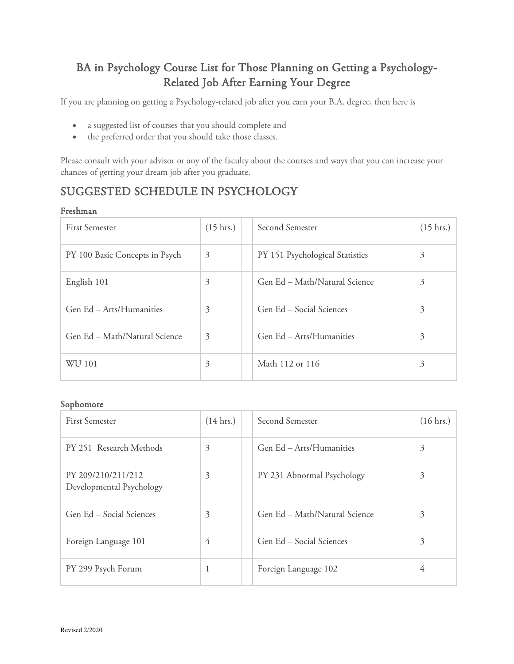# BA in Psychology Course List for Those Planning on Getting a Psychology-Related Job After Earning Your Degree

If you are planning on getting a Psychology-related job after you earn your B.A. degree, then here is

- a suggested list of courses that you should complete and
- the preferred order that you should take those classes.

Please consult with your advisor or any of the faculty about the courses and ways that you can increase your chances of getting your dream job after you graduate.

## SUGGESTED SCHEDULE IN PSYCHOLOGY

#### Freshman

| <b>First Semester</b>          | $(15 \text{ hrs.})$ | Second Semester                 | $(15 \text{ hrs.})$ |
|--------------------------------|---------------------|---------------------------------|---------------------|
| PY 100 Basic Concepts in Psych | 3                   | PY 151 Psychological Statistics | 3                   |
| English 101                    | 3                   | Gen Ed – Math/Natural Science   | 3                   |
| Gen Ed - Arts/Humanities       | 3                   | Gen Ed – Social Sciences        | 3                   |
| Gen Ed - Math/Natural Science  | 3                   | Gen Ed - Arts/Humanities        | 3                   |
| WU 101                         | 3                   | Math 112 or 116                 | 3                   |

### Sophomore

| <b>First Semester</b>                          | $(14 \text{ hrs.})$ | Second Semester               | $(16 \text{ hrs.})$ |
|------------------------------------------------|---------------------|-------------------------------|---------------------|
| PY 251 Research Methods                        | 3                   | Gen Ed - Arts/Humanities      | 3                   |
| PY 209/210/211/212<br>Developmental Psychology | 3                   | PY 231 Abnormal Psychology    | 3                   |
| Gen Ed – Social Sciences                       | 3                   | Gen Ed - Math/Natural Science | 3                   |
| Foreign Language 101                           | 4                   | Gen Ed - Social Sciences      | 3                   |
| PY 299 Psych Forum                             |                     | Foreign Language 102          | $\overline{4}$      |